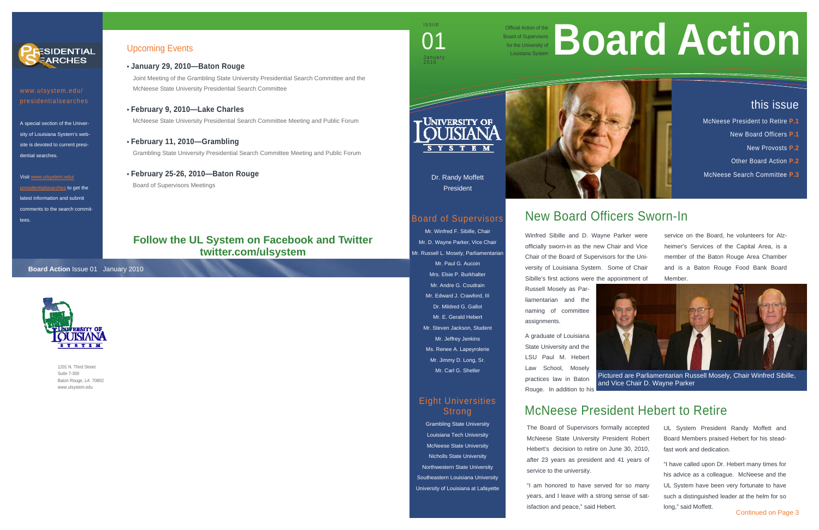1201 N. Third Street Suite 7-300 Baton Rouge, LA 70802 www.ulsystem.edu

## Upcoming Events

- **January 29, 2010—Baton Rouge**  Joint Meeting of the Grambling State University Presidential Search Committee and the McNeese State University Presidential Search Committee
- **February 9, 2010—Lake Charles** McNeese State University Presidential Search Committee Meeting and Public Forum
- **February 11, 2010—Grambling**  Grambling State University Presidential Search Committee Meeting and Public Forum
- **February 25-26, 2010—Baton Rouge** Board of Supervisors Meetings

Official Action of the Board of Supervisors for the University of





presidentialsearches

A special section of the University of Louisiana System's website is devoted to current presidential searches.

#### Visit www.ulsystem.edu/

presidentialsearches to get the latest information and submit comments to the search committees.

Dr. Randy Moffett President

### Board of Supervisors

Mr. Winfred F. Sibille, Chair Mr. D. Wayne Parker, Vice Chair Mr. Russell L. Mosely, Parliamentarian Mr. Paul G. Aucoin Mrs. Elsie P. Burkhalter Mr. Andre G. Coudrain Mr. Edward J. Crawford, III Dr. Mildred G. Gallot Mr. E. Gerald Hebert Mr. Steven Jackson, Student Mr. Jeffrey Jenkins Ms. Renee A. Lapeyrolerie Mr. Jimmy D. Long, Sr. Mr. Carl G. Shetler

### Eight Universities Strong

Grambling State University Louisiana Tech University McNeese State University Nicholls State University Northwestern State University Southeastern Louisiana University University of Louisiana at Lafayette



# New Board Officers Sworn-In

Winfred Sibille and D. Wayne Parker were officially sworn-in as the new Chair and Vice Chair of the Board of Supervisors for the University of Louisiana System. Some of Chair Sibille's first actions were the appointment of

Russell Mosely as Parliamentarian and the naming of committee assignments.

A graduate of Louisiana State University and the LSU Paul M. Hebert Law School, Mosely practices law in Baton Rouge. In addition to his

UL System President Randy Moffett and Board Members praised Hebert for his steadfast work and dedication.

"I have called upon Dr. Hebert many times for his advice as a colleague. McNeese and the UL System have been very fortunate to have such a distinguished leader at the helm for so long," said Moffett.

# this issue

- McNeese President to Retire **P.1**
	- New Board Officers **P.1**
		- New Provosts **P.2**
	- Other Board Action **P.2**
- McNeese Search Committee **P.3**

ISSUE

**O** 

January 2010

#### **Board Action** Issue 01 January 2010



# McNeese President Hebert to Retire

service on the Board, he volunteers for Alzheimer's Services of the Capital Area, is a member of the Baton Rouge Area Chamber and is a Baton Rouge Food Bank Board Member.

The Board of Supervisors formally accepted McNeese State University President Robert Hebert's decision to retire on June 30, 2010, after 23 years as president and 41 years of service to the university.

"I am honored to have served for so many years, and I leave with a strong sense of satisfaction and peace," said Hebert.

# ficial Action of the **Board of Supervisors**



Pictured are Parliamentarian Russell Mosely, Chair Winfred Sibille, and Vice Chair D. Wayne Parker

# **Follow the UL System on Facebook and Twitter twitter.com/ulsystem**